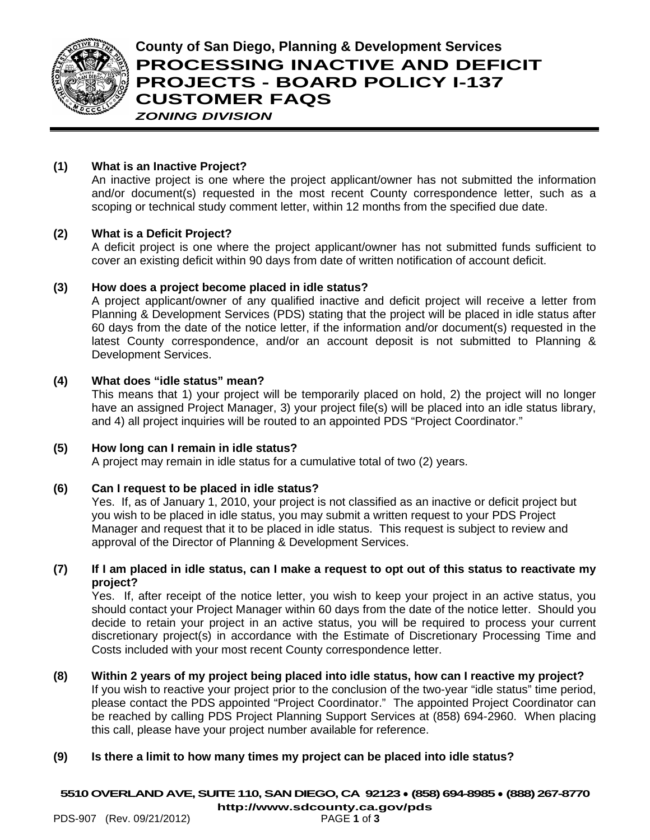

# **County of San Diego, Planning & Development Services PROCESSING INACTIVE AND DEFICIT PROJECTS - BOARD POLICY I-137 CUSTOMER FAQS** *ZONING DIVISION*

## **(1) What is an Inactive Project?**

An inactive project is one where the project applicant/owner has not submitted the information and/or document(s) requested in the most recent County correspondence letter, such as a scoping or technical study comment letter, within 12 months from the specified due date.

#### **(2) What is a Deficit Project?**

A deficit project is one where the project applicant/owner has not submitted funds sufficient to cover an existing deficit within 90 days from date of written notification of account deficit.

#### **(3) How does a project become placed in idle status?**

A project applicant/owner of any qualified inactive and deficit project will receive a letter from Planning & Development Services (PDS) stating that the project will be placed in idle status after 60 days from the date of the notice letter, if the information and/or document(s) requested in the latest County correspondence, and/or an account deposit is not submitted to Planning & Development Services.

## **(4) What does "idle status" mean?**

This means that 1) your project will be temporarily placed on hold, 2) the project will no longer have an assigned Project Manager, 3) your project file(s) will be placed into an idle status library, and 4) all project inquiries will be routed to an appointed PDS "Project Coordinator."

#### **(5) How long can I remain in idle status?**

A project may remain in idle status for a cumulative total of two (2) years.

#### **(6) Can I request to be placed in idle status?**

Yes. If, as of January 1, 2010, your project is not classified as an inactive or deficit project but you wish to be placed in idle status, you may submit a written request to your PDS Project Manager and request that it to be placed in idle status. This request is subject to review and approval of the Director of Planning & Development Services.

#### **(7) If I am placed in idle status, can I make a request to opt out of this status to reactivate my project?**

Yes. If, after receipt of the notice letter, you wish to keep your project in an active status, you should contact your Project Manager within 60 days from the date of the notice letter. Should you decide to retain your project in an active status, you will be required to process your current discretionary project(s) in accordance with the Estimate of Discretionary Processing Time and Costs included with your most recent County correspondence letter.

**(8) Within 2 years of my project being placed into idle status, how can I reactive my project?** If you wish to reactive your project prior to the conclusion of the two-year "idle status" time period, please contact the PDS appointed "Project Coordinator." The appointed Project Coordinator can be reached by calling PDS Project Planning Support Services at (858) 694-2960. When placing this call, please have your project number available for reference.

#### **(9) Is there a limit to how many times my project can be placed into idle status?**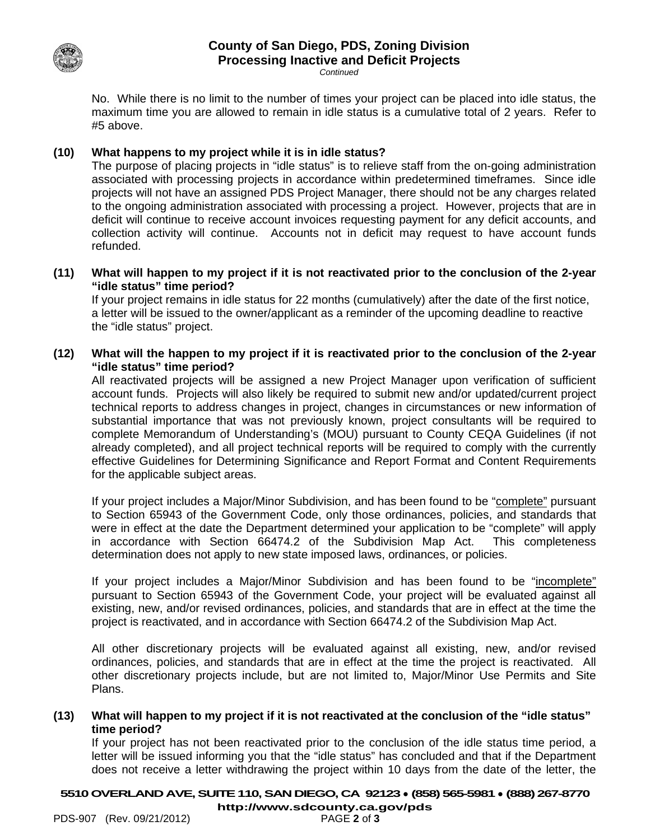

# **County of San Diego, PDS, Zoning Division Processing Inactive and Deficit Projects**

*Continued*

No. While there is no limit to the number of times your project can be placed into idle status, the maximum time you are allowed to remain in idle status is a cumulative total of 2 years. Refer to #5 above.

#### **(10) What happens to my project while it is in idle status?**

The purpose of placing projects in "idle status" is to relieve staff from the on-going administration associated with processing projects in accordance within predetermined timeframes. Since idle projects will not have an assigned PDS Project Manager, there should not be any charges related to the ongoing administration associated with processing a project. However, projects that are in deficit will continue to receive account invoices requesting payment for any deficit accounts, and collection activity will continue. Accounts not in deficit may request to have account funds refunded.

**(11) What will happen to my project if it is not reactivated prior to the conclusion of the 2-year "idle status" time period?**

If your project remains in idle status for 22 months (cumulatively) after the date of the first notice, a letter will be issued to the owner/applicant as a reminder of the upcoming deadline to reactive the "idle status" project.

**(12) What will the happen to my project if it is reactivated prior to the conclusion of the 2-year "idle status" time period?**

All reactivated projects will be assigned a new Project Manager upon verification of sufficient account funds. Projects will also likely be required to submit new and/or updated/current project technical reports to address changes in project, changes in circumstances or new information of substantial importance that was not previously known, project consultants will be required to complete Memorandum of Understanding's (MOU) pursuant to County CEQA Guidelines (if not already completed), and all project technical reports will be required to comply with the currently effective Guidelines for Determining Significance and Report Format and Content Requirements for the applicable subject areas.

If your project includes a Major/Minor Subdivision, and has been found to be "complete" pursuant to Section 65943 of the Government Code, only those ordinances, policies, and standards that were in effect at the date the Department determined your application to be "complete" will apply in accordance with Section 66474.2 of the Subdivision Map Act. This completeness determination does not apply to new state imposed laws, ordinances, or policies.

If your project includes a Major/Minor Subdivision and has been found to be "incomplete" pursuant to Section 65943 of the Government Code, your project will be evaluated against all existing, new, and/or revised ordinances, policies, and standards that are in effect at the time the project is reactivated, and in accordance with Section 66474.2 of the Subdivision Map Act.

All other discretionary projects will be evaluated against all existing, new, and/or revised ordinances, policies, and standards that are in effect at the time the project is reactivated. All other discretionary projects include, but are not limited to, Major/Minor Use Permits and Site Plans.

#### **(13) What will happen to my project if it is not reactivated at the conclusion of the "idle status" time period?**

If your project has not been reactivated prior to the conclusion of the idle status time period, a letter will be issued informing you that the "idle status" has concluded and that if the Department does not receive a letter withdrawing the project within 10 days from the date of the letter, the

**5510OVERLAND AVE, SUITE 110, SAN DIEGO, CA 92123** ● **(858) 565-5981** ● **(888) 267-8770**

**<http://www.sdcounty.ca.gov/pds>**